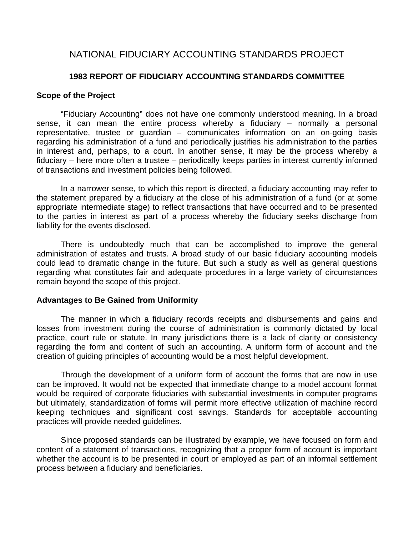# NATIONAL FIDUCIARY ACCOUNTING STANDARDS PROJECT

# **1983 REPORT OF FIDUCIARY ACCOUNTING STANDARDS COMMITTEE**

#### **Scope of the Project**

 "Fiduciary Accounting" does not have one commonly understood meaning. In a broad sense, it can mean the entire process whereby a fiduciary – normally a personal representative, trustee or guardian – communicates information on an on-going basis regarding his administration of a fund and periodically justifies his administration to the parties in interest and, perhaps, to a court. In another sense, it may be the process whereby a fiduciary – here more often a trustee – periodically keeps parties in interest currently informed of transactions and investment policies being followed.

 In a narrower sense, to which this report is directed, a fiduciary accounting may refer to the statement prepared by a fiduciary at the close of his administration of a fund (or at some appropriate intermediate stage) to reflect transactions that have occurred and to be presented to the parties in interest as part of a process whereby the fiduciary seeks discharge from liability for the events disclosed.

 There is undoubtedly much that can be accomplished to improve the general administration of estates and trusts. A broad study of our basic fiduciary accounting models could lead to dramatic change in the future. But such a study as well as general questions regarding what constitutes fair and adequate procedures in a large variety of circumstances remain beyond the scope of this project.

## **Advantages to Be Gained from Uniformity**

 The manner in which a fiduciary records receipts and disbursements and gains and losses from investment during the course of administration is commonly dictated by local practice, court rule or statute. In many jurisdictions there is a lack of clarity or consistency regarding the form and content of such an accounting. A uniform form of account and the creation of guiding principles of accounting would be a most helpful development.

 Through the development of a uniform form of account the forms that are now in use can be improved. It would not be expected that immediate change to a model account format would be required of corporate fiduciaries with substantial investments in computer programs but ultimately, standardization of forms will permit more effective utilization of machine record keeping techniques and significant cost savings. Standards for acceptable accounting practices will provide needed guidelines.

 Since proposed standards can be illustrated by example, we have focused on form and content of a statement of transactions, recognizing that a proper form of account is important whether the account is to be presented in court or employed as part of an informal settlement process between a fiduciary and beneficiaries.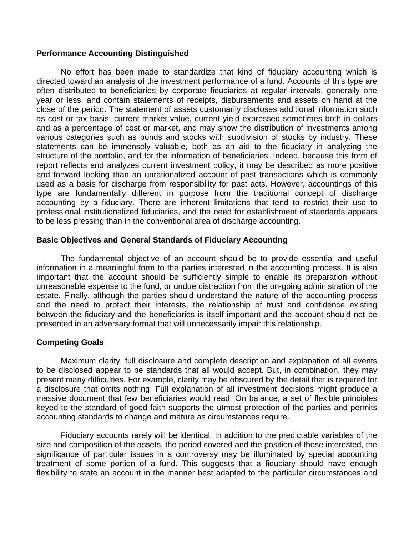## **Performance Accounting Distinguished**

 No effort has been made to standardize that kind of fiduciary accounting which is directed toward an analysis of the investment performance of a fund. Accounts of this type are often distributed to beneficiaries by corporate fiduciaries at regular intervals, generally one year or less, and contain statements of receipts, disbursements and assets on hand at the close of the period. The statement of assets customarily discloses additional information such as cost or tax basis, current market value, current yield expressed sometimes both in dollars and as a percentage of cost or market, and may show the distribution of investments among various categories such as bonds and stocks with subdivision of stocks by industry. These statements can be immensely valuable, both as an aid to the fiduciary in analyzing the structure of the portfolio, and for the information of beneficiaries. Indeed, because this form of report reflects and analyzes current investment policy, it may be described as more positive and forward looking than an unrationalized account of past transactions which is commonly used as a basis for discharge from responsibility for past acts. However, accountings of this type are fundamentally different in purpose from the traditional concept of discharge accounting by a fiduciary. There are inherent limitations that tend to restrict their use to professional institutionalized fiduciaries, and the need for establishment of standards appears to be less pressing than in the conventional area of discharge accounting.

# **Basic Objectives and General Standards of Fiduciary Accounting**

 The fundamental objective of an account should be to provide essential and useful information in a meaningful form to the parties interested in the accounting process. It is also important that the account should be sufficiently simple to enable its preparation without unreasonable expense to the fund, or undue distraction from the on-going administration of the estate. Finally, although the parties should understand the nature of the accounting process and the need to protect their interests, the relationship of trust and confidence existing between the fiduciary and the beneficiaries is itself important and the account should not be presented in an adversary format that will unnecessarily impair this relationship.

# **Competing Goals**

 Maximum clarity, full disclosure and complete description and explanation of all events to be disclosed appear to be standards that all would accept. But, in combination, they may present many difficulties. For example, clarity may be obscured by the detail that is required for a disclosure that omits nothing. Full explanation of all investment decisions might produce a massive document that few beneficiaries would read. On balance, a set of flexible principles keyed to the standard of good faith supports the utmost protection of the parties and permits accounting standards to change and mature as circumstances require.

 Fiduciary accounts rarely will be identical. In addition to the predictable variables of the size and composition of the assets, the period covered and the position of those interested, the significance of particular issues in a controversy may be illuminated by special accounting treatment of some portion of a fund. This suggests that a fiduciary should have enough flexibility to state an account in the manner best adapted to the particular circumstances and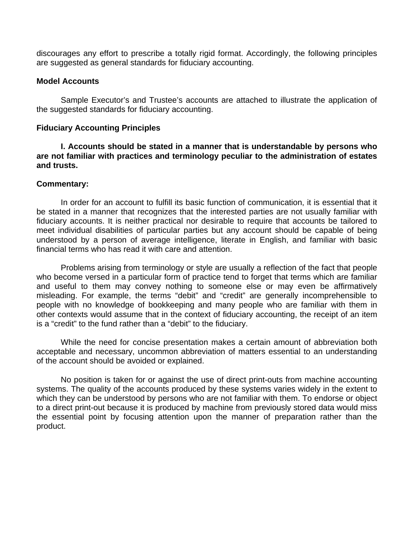discourages any effort to prescribe a totally rigid format. Accordingly, the following principles are suggested as general standards for fiduciary accounting.

#### **Model Accounts**

 Sample Executor's and Trustee's accounts are attached to illustrate the application of the suggested standards for fiduciary accounting.

#### **Fiduciary Accounting Principles**

 **I. Accounts should be stated in a manner that is understandable by persons who are not familiar with practices and terminology peculiar to the administration of estates and trusts.** 

#### **Commentary:**

 In order for an account to fulfill its basic function of communication, it is essential that it be stated in a manner that recognizes that the interested parties are not usually familiar with fiduciary accounts. It is neither practical nor desirable to require that accounts be tailored to meet individual disabilities of particular parties but any account should be capable of being understood by a person of average intelligence, literate in English, and familiar with basic financial terms who has read it with care and attention.

 Problems arising from terminology or style are usually a reflection of the fact that people who become versed in a particular form of practice tend to forget that terms which are familiar and useful to them may convey nothing to someone else or may even be affirmatively misleading. For example, the terms "debit" and "credit" are generally incomprehensible to people with no knowledge of bookkeeping and many people who are familiar with them in other contexts would assume that in the context of fiduciary accounting, the receipt of an item is a "credit" to the fund rather than a "debit" to the fiduciary.

 While the need for concise presentation makes a certain amount of abbreviation both acceptable and necessary, uncommon abbreviation of matters essential to an understanding of the account should be avoided or explained.

 No position is taken for or against the use of direct print-outs from machine accounting systems. The quality of the accounts produced by these systems varies widely in the extent to which they can be understood by persons who are not familiar with them. To endorse or object to a direct print-out because it is produced by machine from previously stored data would miss the essential point by focusing attention upon the manner of preparation rather than the product.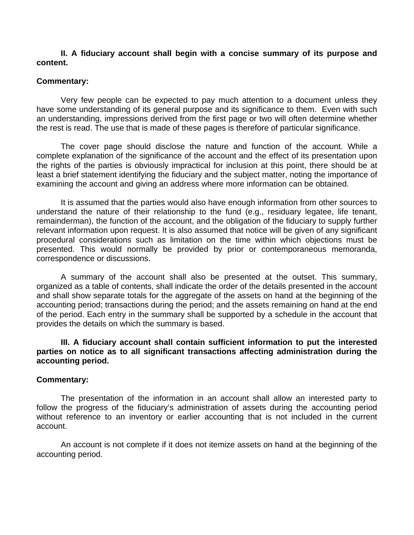**II. A fiduciary account shall begin with a concise summary of its purpose and content.** 

#### **Commentary:**

 Very few people can be expected to pay much attention to a document unless they have some understanding of its general purpose and its significance to them. Even with such an understanding, impressions derived from the first page or two will often determine whether the rest is read. The use that is made of these pages is therefore of particular significance.

 The cover page should disclose the nature and function of the account. While a complete explanation of the significance of the account and the effect of its presentation upon the rights of the parties is obviously impractical for inclusion at this point, there should be at least a brief statement identifying the fiduciary and the subject matter, noting the importance of examining the account and giving an address where more information can be obtained.

 It is assumed that the parties would also have enough information from other sources to understand the nature of their relationship to the fund (e.g., residuary legatee, life tenant, remainderman), the function of the account, and the obligation of the fiduciary to supply further relevant information upon request. It is also assumed that notice will be given of any significant procedural considerations such as limitation on the time within which objections must be presented. This would normally be provided by prior or contemporaneous memoranda, correspondence or discussions.

 A summary of the account shall also be presented at the outset. This summary, organized as a table of contents, shall indicate the order of the details presented in the account and shall show separate totals for the aggregate of the assets on hand at the beginning of the accounting period; transactions during the period; and the assets remaining on hand at the end of the period. Each entry in the summary shall be supported by a schedule in the account that provides the details on which the summary is based.

 **III. A fiduciary account shall contain sufficient information to put the interested parties on notice as to all significant transactions affecting administration during the accounting period.** 

## **Commentary:**

 The presentation of the information in an account shall allow an interested party to follow the progress of the fiduciary's administration of assets during the accounting period without reference to an inventory or earlier accounting that is not included in the current account.

 An account is not complete if it does not itemize assets on hand at the beginning of the accounting period.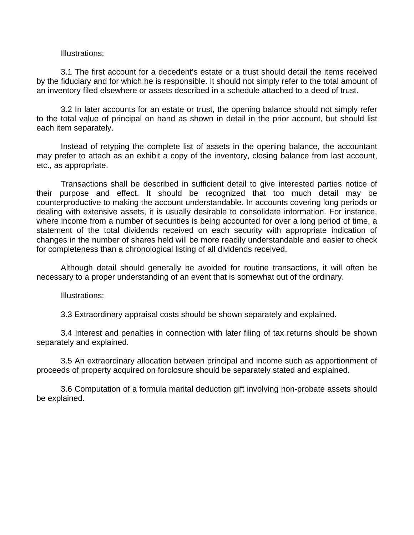## Illustrations:

 3.1 The first account for a decedent's estate or a trust should detail the items received by the fiduciary and for which he is responsible. It should not simply refer to the total amount of an inventory filed elsewhere or assets described in a schedule attached to a deed of trust.

 3.2 In later accounts for an estate or trust, the opening balance should not simply refer to the total value of principal on hand as shown in detail in the prior account, but should list each item separately.

 Instead of retyping the complete list of assets in the opening balance, the accountant may prefer to attach as an exhibit a copy of the inventory, closing balance from last account, etc., as appropriate.

 Transactions shall be described in sufficient detail to give interested parties notice of their purpose and effect. It should be recognized that too much detail may be counterproductive to making the account understandable. In accounts covering long periods or dealing with extensive assets, it is usually desirable to consolidate information. For instance, where income from a number of securities is being accounted for over a long period of time, a statement of the total dividends received on each security with appropriate indication of changes in the number of shares held will be more readily understandable and easier to check for completeness than a chronological listing of all dividends received.

 Although detail should generally be avoided for routine transactions, it will often be necessary to a proper understanding of an event that is somewhat out of the ordinary.

Illustrations:

3.3 Extraordinary appraisal costs should be shown separately and explained.

 3.4 Interest and penalties in connection with later filing of tax returns should be shown separately and explained.

 3.5 An extraordinary allocation between principal and income such as apportionment of proceeds of property acquired on forclosure should be separately stated and explained.

 3.6 Computation of a formula marital deduction gift involving non-probate assets should be explained.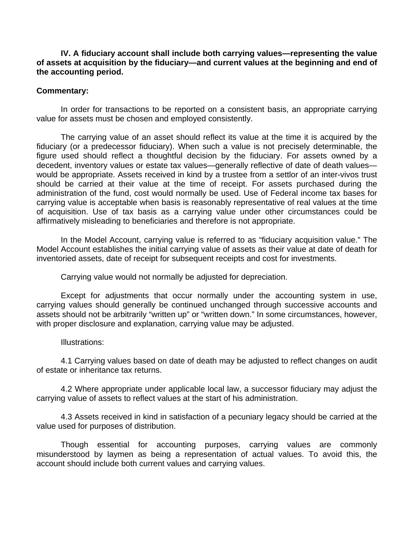# **IV. A fiduciary account shall include both carrying values—representing the value of assets at acquisition by the fiduciary—and current values at the beginning and end of the accounting period.**

## **Commentary:**

 In order for transactions to be reported on a consistent basis, an appropriate carrying value for assets must be chosen and employed consistently.

 The carrying value of an asset should reflect its value at the time it is acquired by the fiduciary (or a predecessor fiduciary). When such a value is not precisely determinable, the figure used should reflect a thoughtful decision by the fiduciary. For assets owned by a decedent, inventory values or estate tax values—generally reflective of date of death values would be appropriate. Assets received in kind by a trustee from a settlor of an inter-vivos trust should be carried at their value at the time of receipt. For assets purchased during the administration of the fund, cost would normally be used. Use of Federal income tax bases for carrying value is acceptable when basis is reasonably representative of real values at the time of acquisition. Use of tax basis as a carrying value under other circumstances could be affirmatively misleading to beneficiaries and therefore is not appropriate.

 In the Model Account, carrying value is referred to as "fiduciary acquisition value." The Model Account establishes the initial carrying value of assets as their value at date of death for inventoried assets, date of receipt for subsequent receipts and cost for investments.

Carrying value would not normally be adjusted for depreciation.

 Except for adjustments that occur normally under the accounting system in use, carrying values should generally be continued unchanged through successive accounts and assets should not be arbitrarily "written up" or "written down." In some circumstances, however, with proper disclosure and explanation, carrying value may be adjusted.

## Illustrations:

 4.1 Carrying values based on date of death may be adjusted to reflect changes on audit of estate or inheritance tax returns.

 4.2 Where appropriate under applicable local law, a successor fiduciary may adjust the carrying value of assets to reflect values at the start of his administration.

 4.3 Assets received in kind in satisfaction of a pecuniary legacy should be carried at the value used for purposes of distribution.

 Though essential for accounting purposes, carrying values are commonly misunderstood by laymen as being a representation of actual values. To avoid this, the account should include both current values and carrying values.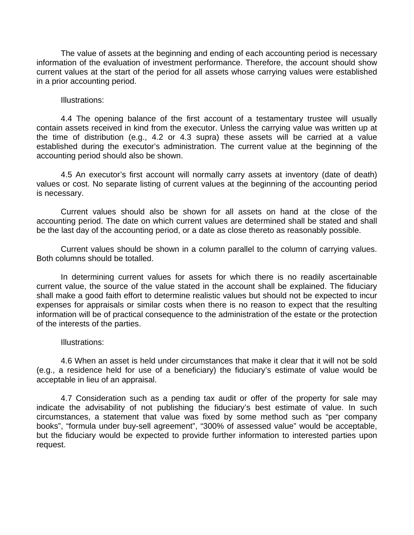The value of assets at the beginning and ending of each accounting period is necessary information of the evaluation of investment performance. Therefore, the account should show current values at the start of the period for all assets whose carrying values were established in a prior accounting period.

#### Illustrations:

 4.4 The opening balance of the first account of a testamentary trustee will usually contain assets received in kind from the executor. Unless the carrying value was written up at the time of distribution (e.g., 4.2 or 4.3 supra) these assets will be carried at a value established during the executor's administration. The current value at the beginning of the accounting period should also be shown.

 4.5 An executor's first account will normally carry assets at inventory (date of death) values or cost. No separate listing of current values at the beginning of the accounting period is necessary.

 Current values should also be shown for all assets on hand at the close of the accounting period. The date on which current values are determined shall be stated and shall be the last day of the accounting period, or a date as close thereto as reasonably possible.

 Current values should be shown in a column parallel to the column of carrying values. Both columns should be totalled.

 In determining current values for assets for which there is no readily ascertainable current value, the source of the value stated in the account shall be explained. The fiduciary shall make a good faith effort to determine realistic values but should not be expected to incur expenses for appraisals or similar costs when there is no reason to expect that the resulting information will be of practical consequence to the administration of the estate or the protection of the interests of the parties.

#### Illustrations:

 4.6 When an asset is held under circumstances that make it clear that it will not be sold (e.g., a residence held for use of a beneficiary) the fiduciary's estimate of value would be acceptable in lieu of an appraisal.

 4.7 Consideration such as a pending tax audit or offer of the property for sale may indicate the advisability of not publishing the fiduciary's best estimate of value. In such circumstances, a statement that value was fixed by some method such as "per company books", "formula under buy-sell agreement", "300% of assessed value" would be acceptable, but the fiduciary would be expected to provide further information to interested parties upon request.